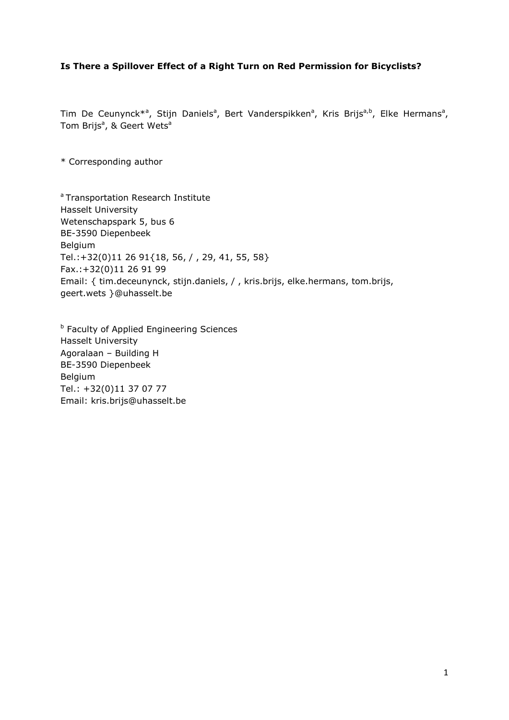#### **Is There a Spillover Effect of a Right Turn on Red Permission for Bicyclists?**

Tim De Ceunynck\*<sup>a</sup>, Stijn Daniels<sup>a</sup>, Bert Vanderspikken<sup>a</sup>, Kris Brijs<sup>a,b</sup>, Elke Hermans<sup>a</sup>, Tom Brijs<sup>a</sup>, & Geert Wets<sup>a</sup>

\* Corresponding author

<sup>a</sup> Transportation Research Institute Hasselt University Wetenschapspark 5, bus 6 BE-3590 Diepenbeek Belgium Tel.:+32(0)11 26 91{18, 56, / , 29, 41, 55, 58} Fax.:+32(0)11 26 91 99 Email: { tim.deceunynck, stijn.daniels, / , kris.brijs, elke.hermans, tom.brijs, geert.wets }@uhasselt.be

**b** Faculty of Applied Engineering Sciences Hasselt University Agoralaan – Building H BE-3590 Diepenbeek Belgium Tel.: +32(0)11 37 07 77 Email: kris.brijs@uhasselt.be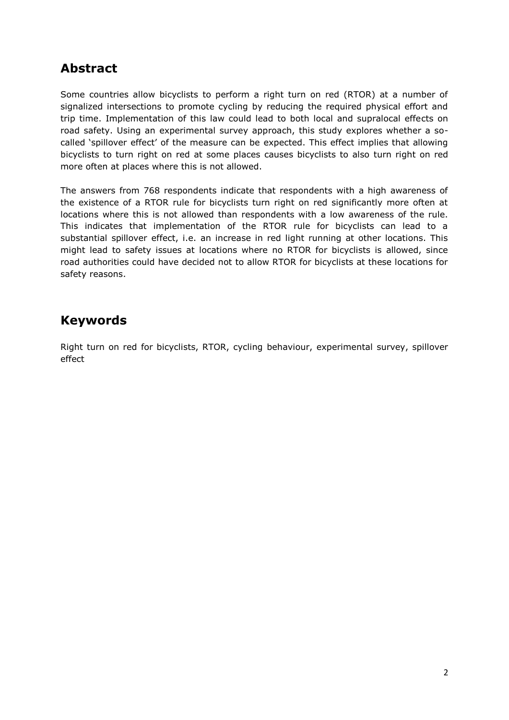## **Abstract**

Some countries allow bicyclists to perform a right turn on red (RTOR) at a number of signalized intersections to promote cycling by reducing the required physical effort and trip time. Implementation of this law could lead to both local and supralocal effects on road safety. Using an experimental survey approach, this study explores whether a socalled 'spillover effect' of the measure can be expected. This effect implies that allowing bicyclists to turn right on red at some places causes bicyclists to also turn right on red more often at places where this is not allowed.

The answers from 768 respondents indicate that respondents with a high awareness of the existence of a RTOR rule for bicyclists turn right on red significantly more often at locations where this is not allowed than respondents with a low awareness of the rule. This indicates that implementation of the RTOR rule for bicyclists can lead to a substantial spillover effect, i.e. an increase in red light running at other locations. This might lead to safety issues at locations where no RTOR for bicyclists is allowed, since road authorities could have decided not to allow RTOR for bicyclists at these locations for safety reasons.

## **Keywords**

Right turn on red for bicyclists, RTOR, cycling behaviour, experimental survey, spillover effect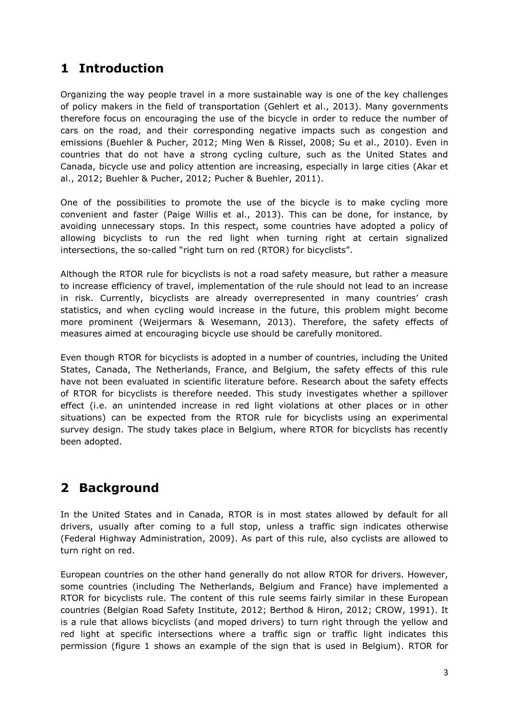# **1 Introduction**

Organizing the way people travel in a more sustainable way is one of the key challenges of policy makers in the field of transportation (Gehlert et al., 2013). Many governments therefore focus on encouraging the use of the bicycle in order to reduce the number of cars on the road, and their corresponding negative impacts such as congestion and emissions (Buehler & Pucher, 2012; Ming Wen & Rissel, 2008; Su et al., 2010). Even in countries that do not have a strong cycling culture, such as the United States and Canada, bicycle use and policy attention are increasing, especially in large cities (Akar et al., 2012; Buehler & Pucher, 2012; Pucher & Buehler, 2011).

One of the possibilities to promote the use of the bicycle is to make cycling more convenient and faster (Paige Willis et al., 2013). This can be done, for instance, by avoiding unnecessary stops. In this respect, some countries have adopted a policy of allowing bicyclists to run the red light when turning right at certain signalized intersections, the so-called "right turn on red (RTOR) for bicyclists".

Although the RTOR rule for bicyclists is not a road safety measure, but rather a measure to increase efficiency of travel, implementation of the rule should not lead to an increase in risk. Currently, bicyclists are already overrepresented in many countries' crash statistics, and when cycling would increase in the future, this problem might become more prominent (Weijermars & Wesemann, 2013). Therefore, the safety effects of measures aimed at encouraging bicycle use should be carefully monitored.

Even though RTOR for bicyclists is adopted in a number of countries, including the United States, Canada, The Netherlands, France, and Belgium, the safety effects of this rule have not been evaluated in scientific literature before. Research about the safety effects of RTOR for bicyclists is therefore needed. This study investigates whether a spillover effect (i.e. an unintended increase in red light violations at other places or in other situations) can be expected from the RTOR rule for bicyclists using an experimental survey design. The study takes place in Belgium, where RTOR for bicyclists has recently been adopted.

# **2 Background**

In the United States and in Canada, RTOR is in most states allowed by default for all drivers, usually after coming to a full stop, unless a traffic sign indicates otherwise (Federal Highway Administration, 2009). As part of this rule, also cyclists are allowed to turn right on red.

European countries on the other hand generally do not allow RTOR for drivers. However, some countries (including The Netherlands, Belgium and France) have implemented a RTOR for bicyclists rule. The content of this rule seems fairly similar in these European countries (Belgian Road Safety Institute, 2012; Berthod & Hiron, 2012; CROW, 1991). It is a rule that allows bicyclists (and moped drivers) to turn right through the yellow and red light at specific intersections where a traffic sign or traffic light indicates this permission (figure 1 shows an example of the sign that is used in Belgium). RTOR for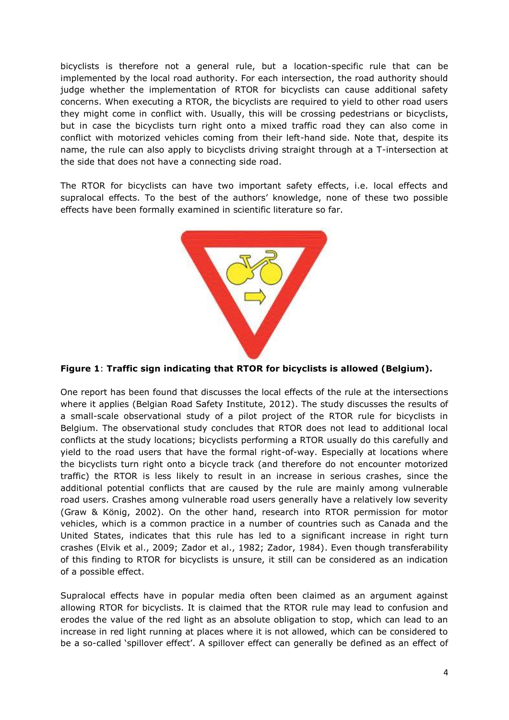bicyclists is therefore not a general rule, but a location-specific rule that can be implemented by the local road authority. For each intersection, the road authority should judge whether the implementation of RTOR for bicyclists can cause additional safety concerns. When executing a RTOR, the bicyclists are required to yield to other road users they might come in conflict with. Usually, this will be crossing pedestrians or bicyclists, but in case the bicyclists turn right onto a mixed traffic road they can also come in conflict with motorized vehicles coming from their left-hand side. Note that, despite its name, the rule can also apply to bicyclists driving straight through at a T-intersection at the side that does not have a connecting side road.

The RTOR for bicyclists can have two important safety effects, i.e. local effects and supralocal effects. To the best of the authors' knowledge, none of these two possible effects have been formally examined in scientific literature so far.



#### **Figure 1**: **Traffic sign indicating that RTOR for bicyclists is allowed (Belgium).**

One report has been found that discusses the local effects of the rule at the intersections where it applies (Belgian Road Safety Institute, 2012). The study discusses the results of a small-scale observational study of a pilot project of the RTOR rule for bicyclists in Belgium. The observational study concludes that RTOR does not lead to additional local conflicts at the study locations; bicyclists performing a RTOR usually do this carefully and yield to the road users that have the formal right-of-way. Especially at locations where the bicyclists turn right onto a bicycle track (and therefore do not encounter motorized traffic) the RTOR is less likely to result in an increase in serious crashes, since the additional potential conflicts that are caused by the rule are mainly among vulnerable road users. Crashes among vulnerable road users generally have a relatively low severity (Graw & König, 2002). On the other hand, research into RTOR permission for motor vehicles, which is a common practice in a number of countries such as Canada and the United States, indicates that this rule has led to a significant increase in right turn crashes (Elvik et al., 2009; Zador et al., 1982; Zador, 1984). Even though transferability of this finding to RTOR for bicyclists is unsure, it still can be considered as an indication of a possible effect.

Supralocal effects have in popular media often been claimed as an argument against allowing RTOR for bicyclists. It is claimed that the RTOR rule may lead to confusion and erodes the value of the red light as an absolute obligation to stop, which can lead to an increase in red light running at places where it is not allowed, which can be considered to be a so-called 'spillover effect'. A spillover effect can generally be defined as an effect of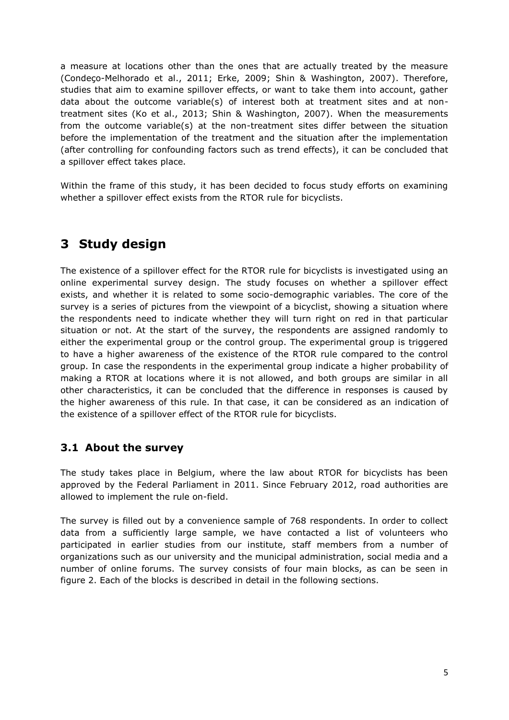a measure at locations other than the ones that are actually treated by the measure (Condeço-Melhorado et al., 2011; Erke, 2009; Shin & Washington, 2007). Therefore, studies that aim to examine spillover effects, or want to take them into account, gather data about the outcome variable(s) of interest both at treatment sites and at nontreatment sites (Ko et al., 2013; Shin & Washington, 2007). When the measurements from the outcome variable(s) at the non-treatment sites differ between the situation before the implementation of the treatment and the situation after the implementation (after controlling for confounding factors such as trend effects), it can be concluded that a spillover effect takes place.

Within the frame of this study, it has been decided to focus study efforts on examining whether a spillover effect exists from the RTOR rule for bicyclists.

## **3 Study design**

The existence of a spillover effect for the RTOR rule for bicyclists is investigated using an online experimental survey design. The study focuses on whether a spillover effect exists, and whether it is related to some socio-demographic variables. The core of the survey is a series of pictures from the viewpoint of a bicyclist, showing a situation where the respondents need to indicate whether they will turn right on red in that particular situation or not. At the start of the survey, the respondents are assigned randomly to either the experimental group or the control group. The experimental group is triggered to have a higher awareness of the existence of the RTOR rule compared to the control group. In case the respondents in the experimental group indicate a higher probability of making a RTOR at locations where it is not allowed, and both groups are similar in all other characteristics, it can be concluded that the difference in responses is caused by the higher awareness of this rule. In that case, it can be considered as an indication of the existence of a spillover effect of the RTOR rule for bicyclists.

### **3.1 About the survey**

The study takes place in Belgium, where the law about RTOR for bicyclists has been approved by the Federal Parliament in 2011. Since February 2012, road authorities are allowed to implement the rule on-field.

The survey is filled out by a convenience sample of 768 respondents. In order to collect data from a sufficiently large sample, we have contacted a list of volunteers who participated in earlier studies from our institute, staff members from a number of organizations such as our university and the municipal administration, social media and a number of online forums. The survey consists of four main blocks, as can be seen in figure 2. Each of the blocks is described in detail in the following sections.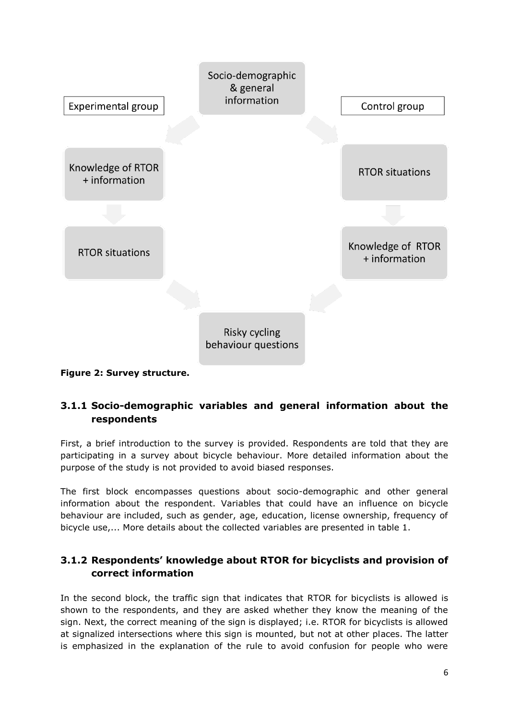

**Figure 2: Survey structure.**

### **3.1.1 Socio-demographic variables and general information about the respondents**

First, a brief introduction to the survey is provided. Respondents are told that they are participating in a survey about bicycle behaviour. More detailed information about the purpose of the study is not provided to avoid biased responses.

The first block encompasses questions about socio-demographic and other general information about the respondent. Variables that could have an influence on bicycle behaviour are included, such as gender, age, education, license ownership, frequency of bicycle use,... More details about the collected variables are presented in table 1.

### **3.1.2 Respondents' knowledge about RTOR for bicyclists and provision of correct information**

In the second block, the traffic sign that indicates that RTOR for bicyclists is allowed is shown to the respondents, and they are asked whether they know the meaning of the sign. Next, the correct meaning of the sign is displayed; i.e. RTOR for bicyclists is allowed at signalized intersections where this sign is mounted, but not at other places. The latter is emphasized in the explanation of the rule to avoid confusion for people who were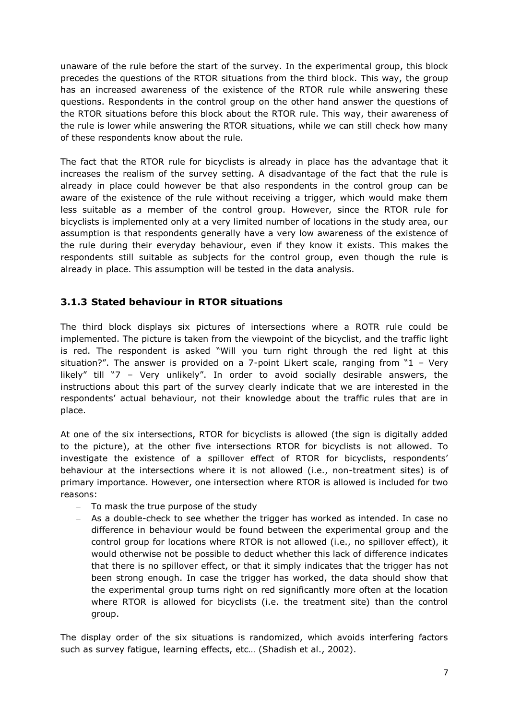unaware of the rule before the start of the survey. In the experimental group, this block precedes the questions of the RTOR situations from the third block. This way, the group has an increased awareness of the existence of the RTOR rule while answering these questions. Respondents in the control group on the other hand answer the questions of the RTOR situations before this block about the RTOR rule. This way, their awareness of the rule is lower while answering the RTOR situations, while we can still check how many of these respondents know about the rule.

The fact that the RTOR rule for bicyclists is already in place has the advantage that it increases the realism of the survey setting. A disadvantage of the fact that the rule is already in place could however be that also respondents in the control group can be aware of the existence of the rule without receiving a trigger, which would make them less suitable as a member of the control group. However, since the RTOR rule for bicyclists is implemented only at a very limited number of locations in the study area, our assumption is that respondents generally have a very low awareness of the existence of the rule during their everyday behaviour, even if they know it exists. This makes the respondents still suitable as subjects for the control group, even though the rule is already in place. This assumption will be tested in the data analysis.

#### **3.1.3 Stated behaviour in RTOR situations**

The third block displays six pictures of intersections where a ROTR rule could be implemented. The picture is taken from the viewpoint of the bicyclist, and the traffic light is red. The respondent is asked "Will you turn right through the red light at this situation?". The answer is provided on a 7-point Likert scale, ranging from "1 – Very likely" till "7 – Very unlikely". In order to avoid socially desirable answers, the instructions about this part of the survey clearly indicate that we are interested in the respondents' actual behaviour, not their knowledge about the traffic rules that are in place.

At one of the six intersections, RTOR for bicyclists is allowed (the sign is digitally added to the picture), at the other five intersections RTOR for bicyclists is not allowed. To investigate the existence of a spillover effect of RTOR for bicyclists, respondents' behaviour at the intersections where it is not allowed (i.e., non-treatment sites) is of primary importance. However, one intersection where RTOR is allowed is included for two reasons:

- To mask the true purpose of the study
- As a double-check to see whether the trigger has worked as intended. In case no difference in behaviour would be found between the experimental group and the control group for locations where RTOR is not allowed (i.e., no spillover effect), it would otherwise not be possible to deduct whether this lack of difference indicates that there is no spillover effect, or that it simply indicates that the trigger has not been strong enough. In case the trigger has worked, the data should show that the experimental group turns right on red significantly more often at the location where RTOR is allowed for bicyclists (i.e. the treatment site) than the control group.

The display order of the six situations is randomized, which avoids interfering factors such as survey fatigue, learning effects, etc… (Shadish et al., 2002).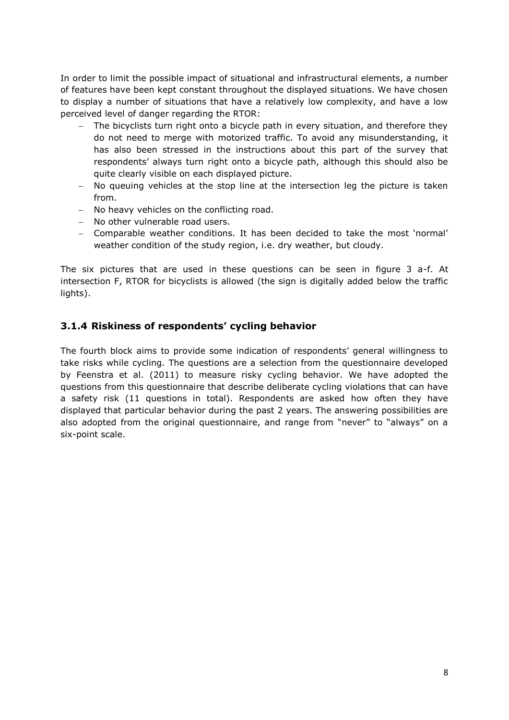In order to limit the possible impact of situational and infrastructural elements, a number of features have been kept constant throughout the displayed situations. We have chosen to display a number of situations that have a relatively low complexity, and have a low perceived level of danger regarding the RTOR:

- The bicyclists turn right onto a bicycle path in every situation, and therefore they do not need to merge with motorized traffic. To avoid any misunderstanding, it has also been stressed in the instructions about this part of the survey that respondents' always turn right onto a bicycle path, although this should also be quite clearly visible on each displayed picture.
- No queuing vehicles at the stop line at the intersection leg the picture is taken from.
- No heavy vehicles on the conflicting road.
- No other vulnerable road users.
- Comparable weather conditions. It has been decided to take the most 'normal' weather condition of the study region, i.e. dry weather, but cloudy.

The six pictures that are used in these questions can be seen in figure 3 a-f. At intersection F, RTOR for bicyclists is allowed (the sign is digitally added below the traffic lights).

#### **3.1.4 Riskiness of respondents' cycling behavior**

The fourth block aims to provide some indication of respondents' general willingness to take risks while cycling. The questions are a selection from the questionnaire developed by Feenstra et al. (2011) to measure risky cycling behavior. We have adopted the questions from this questionnaire that describe deliberate cycling violations that can have a safety risk (11 questions in total). Respondents are asked how often they have displayed that particular behavior during the past 2 years. The answering possibilities are also adopted from the original questionnaire, and range from "never" to "always" on a six-point scale.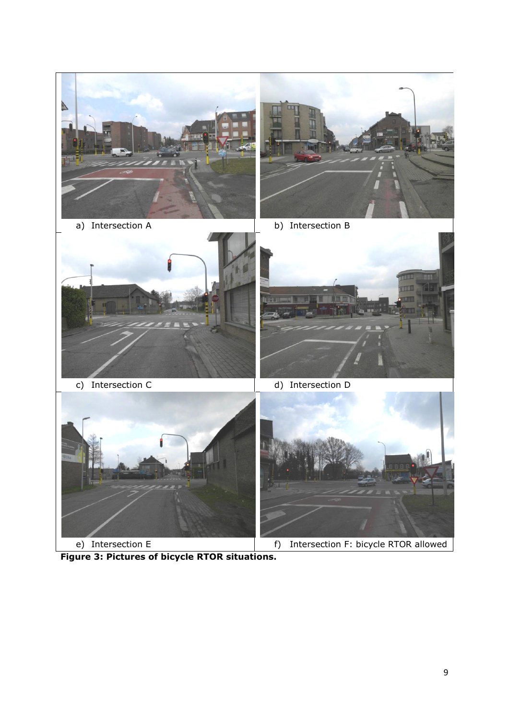







- 
- c) Intersection C d) Intersection D



**Figure 3: Pictures of bicycle RTOR situations.**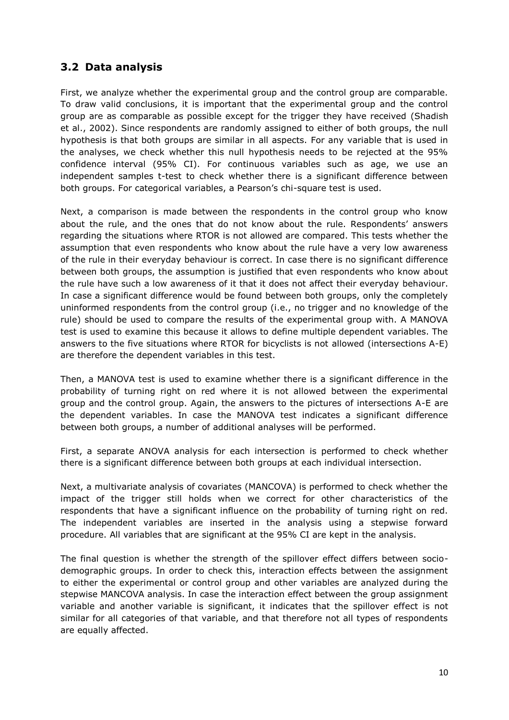### **3.2 Data analysis**

First, we analyze whether the experimental group and the control group are comparable. To draw valid conclusions, it is important that the experimental group and the control group are as comparable as possible except for the trigger they have received (Shadish et al., 2002). Since respondents are randomly assigned to either of both groups, the null hypothesis is that both groups are similar in all aspects. For any variable that is used in the analyses, we check whether this null hypothesis needs to be rejected at the 95% confidence interval (95% CI). For continuous variables such as age, we use an independent samples t-test to check whether there is a significant difference between both groups. For categorical variables, a Pearson's chi-square test is used.

Next, a comparison is made between the respondents in the control group who know about the rule, and the ones that do not know about the rule. Respondents' answers regarding the situations where RTOR is not allowed are compared. This tests whether the assumption that even respondents who know about the rule have a very low awareness of the rule in their everyday behaviour is correct. In case there is no significant difference between both groups, the assumption is justified that even respondents who know about the rule have such a low awareness of it that it does not affect their everyday behaviour. In case a significant difference would be found between both groups, only the completely uninformed respondents from the control group (i.e., no trigger and no knowledge of the rule) should be used to compare the results of the experimental group with. A MANOVA test is used to examine this because it allows to define multiple dependent variables. The answers to the five situations where RTOR for bicyclists is not allowed (intersections A-E) are therefore the dependent variables in this test.

Then, a MANOVA test is used to examine whether there is a significant difference in the probability of turning right on red where it is not allowed between the experimental group and the control group. Again, the answers to the pictures of intersections A-E are the dependent variables. In case the MANOVA test indicates a significant difference between both groups, a number of additional analyses will be performed.

First, a separate ANOVA analysis for each intersection is performed to check whether there is a significant difference between both groups at each individual intersection.

Next, a multivariate analysis of covariates (MANCOVA) is performed to check whether the impact of the trigger still holds when we correct for other characteristics of the respondents that have a significant influence on the probability of turning right on red. The independent variables are inserted in the analysis using a stepwise forward procedure. All variables that are significant at the 95% CI are kept in the analysis.

The final question is whether the strength of the spillover effect differs between sociodemographic groups. In order to check this, interaction effects between the assignment to either the experimental or control group and other variables are analyzed during the stepwise MANCOVA analysis. In case the interaction effect between the group assignment variable and another variable is significant, it indicates that the spillover effect is not similar for all categories of that variable, and that therefore not all types of respondents are equally affected.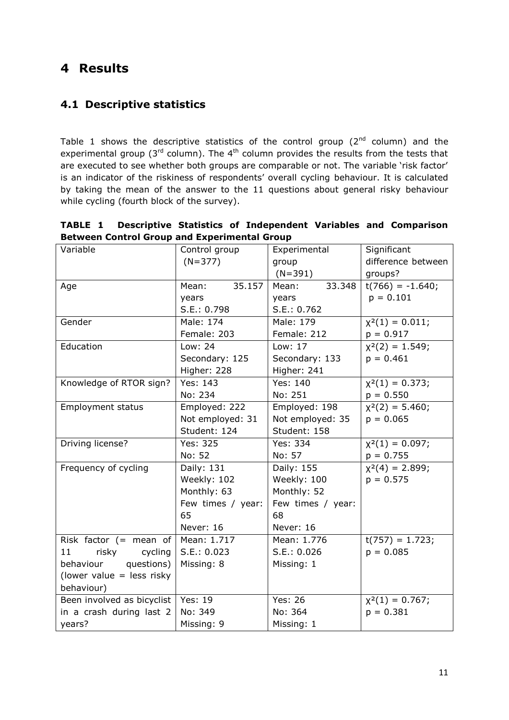## **4 Results**

### **4.1 Descriptive statistics**

Table 1 shows the descriptive statistics of the control group  $(2^{nd}$  column) and the experimental group ( $3<sup>rd</sup>$  column). The  $4<sup>th</sup>$  column provides the results from the tests that are executed to see whether both groups are comparable or not. The variable 'risk factor' is an indicator of the riskiness of respondents' overall cycling behaviour. It is calculated by taking the mean of the answer to the 11 questions about general risky behaviour while cycling (fourth block of the survey).

| <b>TABLE 1</b>                                      |  |  |  | Descriptive Statistics of Independent Variables and Comparison |  |  |  |  |  |
|-----------------------------------------------------|--|--|--|----------------------------------------------------------------|--|--|--|--|--|
| <b>Between Control Group and Experimental Group</b> |  |  |  |                                                                |  |  |  |  |  |

| Variable<br>Control group   |                    | Experimental      | Significant          |
|-----------------------------|--------------------|-------------------|----------------------|
|                             | $(N=377)$          | group             | difference between   |
|                             |                    | $(N=391)$         | groups?              |
| Age                         | 35.157<br>Mean:    | 33.348<br>Mean:   | $t(766) = -1.640;$   |
|                             | years              | years             | $p = 0.101$          |
|                             | S.E.: 0.798        | S.E.: 0.762       |                      |
| Gender                      | Male: 174          | Male: 179         | $\chi^2(1) = 0.011;$ |
|                             | Female: 203        | Female: 212       | $p = 0.917$          |
| Education                   | Low: 24<br>Low: 17 |                   | $x^2(2) = 1.549;$    |
|                             | Secondary: 125     | Secondary: 133    | $p = 0.461$          |
|                             | Higher: 228        | Higher: 241       |                      |
| Knowledge of RTOR sign?     | Yes: 143           | Yes: 140          | $\chi^2(1) = 0.373;$ |
|                             | No: 234            | No: 251           | $p = 0.550$          |
| Employment status           | Employed: 222      | Employed: 198     | $x^2(2) = 5.460;$    |
|                             | Not employed: 31   | Not employed: 35  | $p = 0.065$          |
|                             | Student: 124       | Student: 158      |                      |
| Driving license?            | Yes: 325           | Yes: 334          | $x^2(1) = 0.097;$    |
|                             | No: 52             | No: 57            | $p = 0.755$          |
| Frequency of cycling        | Daily: 131         | Daily: 155        | $x^2(4) = 2.899;$    |
|                             | Weekly: 102        | Weekly: 100       | $p = 0.575$          |
|                             | Monthly: 63        | Monthly: 52       |                      |
|                             | Few times / year:  | Few times / year: |                      |
|                             | 65                 | 68                |                      |
|                             | Never: 16          | Never: 16         |                      |
| Risk factor $($ mean of     | Mean: 1.717        | Mean: 1.776       | $t(757) = 1.723;$    |
| 11<br>risky<br>cycling      | S.E.: 0.023        | S.E.: 0.026       | $p = 0.085$          |
| questions)<br>behaviour     | Missing: 8         | Missing: 1        |                      |
| (lower value $=$ less risky |                    |                   |                      |
| behaviour)                  |                    |                   |                      |
| Been involved as bicyclist  | <b>Yes: 19</b>     | <b>Yes: 26</b>    | $\chi^2(1) = 0.767;$ |
| in a crash during last 2    | No: 349            | No: 364           | $p = 0.381$          |
| years?                      | Missing: 9         | Missing: 1        |                      |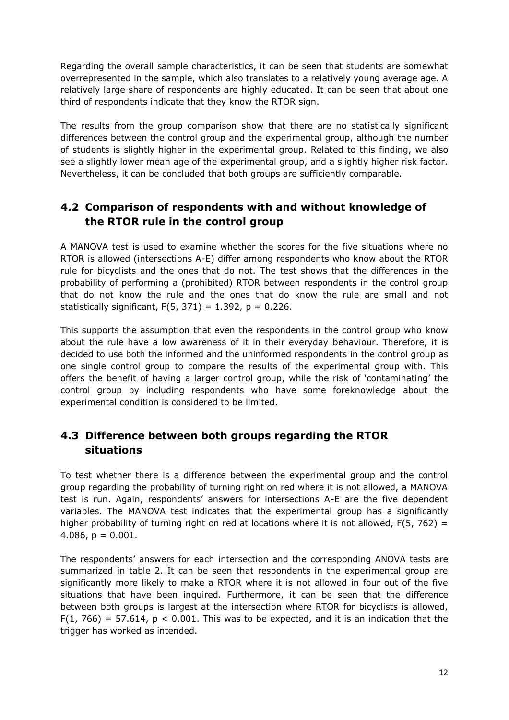Regarding the overall sample characteristics, it can be seen that students are somewhat overrepresented in the sample, which also translates to a relatively young average age. A relatively large share of respondents are highly educated. It can be seen that about one third of respondents indicate that they know the RTOR sign.

The results from the group comparison show that there are no statistically significant differences between the control group and the experimental group, although the number of students is slightly higher in the experimental group. Related to this finding, we also see a slightly lower mean age of the experimental group, and a slightly higher risk factor. Nevertheless, it can be concluded that both groups are sufficiently comparable.

### **4.2 Comparison of respondents with and without knowledge of the RTOR rule in the control group**

A MANOVA test is used to examine whether the scores for the five situations where no RTOR is allowed (intersections A-E) differ among respondents who know about the RTOR rule for bicyclists and the ones that do not. The test shows that the differences in the probability of performing a (prohibited) RTOR between respondents in the control group that do not know the rule and the ones that do know the rule are small and not statistically significant,  $F(5, 371) = 1.392$ ,  $p = 0.226$ .

This supports the assumption that even the respondents in the control group who know about the rule have a low awareness of it in their everyday behaviour. Therefore, it is decided to use both the informed and the uninformed respondents in the control group as one single control group to compare the results of the experimental group with. This offers the benefit of having a larger control group, while the risk of 'contaminating' the control group by including respondents who have some foreknowledge about the experimental condition is considered to be limited.

### **4.3 Difference between both groups regarding the RTOR situations**

To test whether there is a difference between the experimental group and the control group regarding the probability of turning right on red where it is not allowed, a MANOVA test is run. Again, respondents' answers for intersections A-E are the five dependent variables. The MANOVA test indicates that the experimental group has a significantly higher probability of turning right on red at locations where it is not allowed,  $F(5, 762) =$ 4.086,  $p = 0.001$ .

The respondents' answers for each intersection and the corresponding ANOVA tests are summarized in table 2. It can be seen that respondents in the experimental group are significantly more likely to make a RTOR where it is not allowed in four out of the five situations that have been inquired. Furthermore, it can be seen that the difference between both groups is largest at the intersection where RTOR for bicyclists is allowed,  $F(1, 766) = 57.614$ ,  $p < 0.001$ . This was to be expected, and it is an indication that the trigger has worked as intended.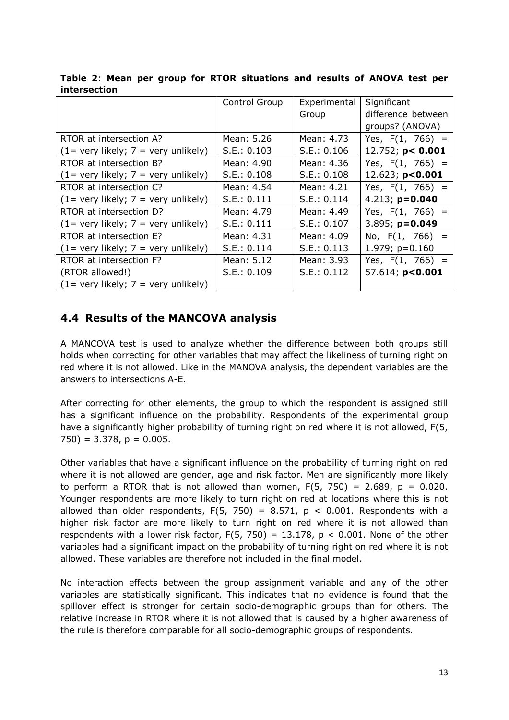|                                         | Control Group | Experimental | Significant         |
|-----------------------------------------|---------------|--------------|---------------------|
|                                         |               | Group        | difference between  |
|                                         |               |              | groups? (ANOVA)     |
| RTOR at intersection A?                 | Mean: 5.26    | Mean: 4.73   | Yes, $F(1, 766) =$  |
| $(1=$ very likely; $7=$ very unlikely)  | S.E.: 0.103   | S.E.: 0.106  | 12.752; $p < 0.001$ |
| RTOR at intersection B?                 | Mean: 4.90    | Mean: 4.36   | Yes, $F(1, 766) =$  |
| $(1=$ very likely; $7=$ very unlikely)  | S.E.: 0.108   | S.E.: 0.108  | 12.623; $p < 0.001$ |
| RTOR at intersection C?                 | Mean: 4.54    | Mean: 4.21   | Yes, $F(1, 766) =$  |
| $(1=$ very likely; $7 =$ very unlikely) | S.E.: 0.111   | S.E.: 0.114  | 4.213; $p=0.040$    |
| RTOR at intersection D?                 | Mean: 4.79    | Mean: 4.49   | Yes, $F(1, 766) =$  |
| $(1=$ very likely; $7=$ very unlikely)  | S.E.: 0.111   | S.E.: 0.107  | $3.895; p=0.049$    |
| RTOR at intersection E?                 | Mean: 4.31    | Mean: 4.09   | No, $F(1, 766) =$   |
| $(1=$ very likely; $7=$ very unlikely)  | S.E.: 0.114   | S.E.: 0.113  | $1.979; p=0.160$    |
| RTOR at intersection F?                 | Mean: 5.12    | Mean: 3.93   | Yes, $F(1, 766) =$  |
| (RTOR allowed!)                         | S.E.: 0.109   | S.E.: 0.112  | 57.614; p<0.001     |
| $(1=$ very likely; $7=$ very unlikely)  |               |              |                     |

**Table 2**: **Mean per group for RTOR situations and results of ANOVA test per intersection**

### **4.4 Results of the MANCOVA analysis**

A MANCOVA test is used to analyze whether the difference between both groups still holds when correcting for other variables that may affect the likeliness of turning right on red where it is not allowed. Like in the MANOVA analysis, the dependent variables are the answers to intersections A-E.

After correcting for other elements, the group to which the respondent is assigned still has a significant influence on the probability. Respondents of the experimental group have a significantly higher probability of turning right on red where it is not allowed, F(5,  $750$ ) = 3.378, p = 0.005.

Other variables that have a significant influence on the probability of turning right on red where it is not allowed are gender, age and risk factor. Men are significantly more likely to perform a RTOR that is not allowed than women,  $F(5, 750) = 2.689$ ,  $p = 0.020$ . Younger respondents are more likely to turn right on red at locations where this is not allowed than older respondents,  $F(5, 750) = 8.571$ ,  $p < 0.001$ . Respondents with a higher risk factor are more likely to turn right on red where it is not allowed than respondents with a lower risk factor,  $F(5, 750) = 13.178$ ,  $p < 0.001$ . None of the other variables had a significant impact on the probability of turning right on red where it is not allowed. These variables are therefore not included in the final model.

No interaction effects between the group assignment variable and any of the other variables are statistically significant. This indicates that no evidence is found that the spillover effect is stronger for certain socio-demographic groups than for others. The relative increase in RTOR where it is not allowed that is caused by a higher awareness of the rule is therefore comparable for all socio-demographic groups of respondents.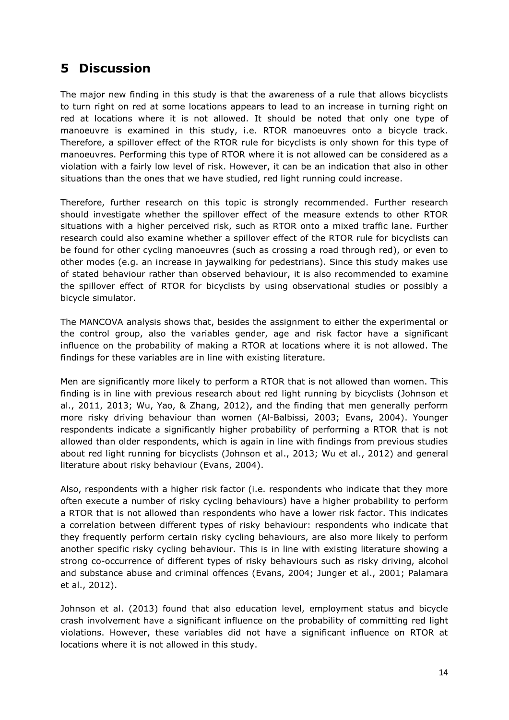# **5 Discussion**

The major new finding in this study is that the awareness of a rule that allows bicyclists to turn right on red at some locations appears to lead to an increase in turning right on red at locations where it is not allowed. It should be noted that only one type of manoeuvre is examined in this study, i.e. RTOR manoeuvres onto a bicycle track. Therefore, a spillover effect of the RTOR rule for bicyclists is only shown for this type of manoeuvres. Performing this type of RTOR where it is not allowed can be considered as a violation with a fairly low level of risk. However, it can be an indication that also in other situations than the ones that we have studied, red light running could increase.

Therefore, further research on this topic is strongly recommended. Further research should investigate whether the spillover effect of the measure extends to other RTOR situations with a higher perceived risk, such as RTOR onto a mixed traffic lane. Further research could also examine whether a spillover effect of the RTOR rule for bicyclists can be found for other cycling manoeuvres (such as crossing a road through red), or even to other modes (e.g. an increase in jaywalking for pedestrians). Since this study makes use of stated behaviour rather than observed behaviour, it is also recommended to examine the spillover effect of RTOR for bicyclists by using observational studies or possibly a bicycle simulator.

The MANCOVA analysis shows that, besides the assignment to either the experimental or the control group, also the variables gender, age and risk factor have a significant influence on the probability of making a RTOR at locations where it is not allowed. The findings for these variables are in line with existing literature.

Men are significantly more likely to perform a RTOR that is not allowed than women. This finding is in line with previous research about red light running by bicyclists (Johnson et al., 2011, 2013; Wu, Yao, & Zhang, 2012), and the finding that men generally perform more risky driving behaviour than women (Al-Balbissi, 2003; Evans, 2004). Younger respondents indicate a significantly higher probability of performing a RTOR that is not allowed than older respondents, which is again in line with findings from previous studies about red light running for bicyclists (Johnson et al., 2013; Wu et al., 2012) and general literature about risky behaviour (Evans, 2004).

Also, respondents with a higher risk factor (i.e. respondents who indicate that they more often execute a number of risky cycling behaviours) have a higher probability to perform a RTOR that is not allowed than respondents who have a lower risk factor. This indicates a correlation between different types of risky behaviour: respondents who indicate that they frequently perform certain risky cycling behaviours, are also more likely to perform another specific risky cycling behaviour. This is in line with existing literature showing a strong co-occurrence of different types of risky behaviours such as risky driving, alcohol and substance abuse and criminal offences (Evans, 2004; Junger et al., 2001; Palamara et al., 2012).

Johnson et al. (2013) found that also education level, employment status and bicycle crash involvement have a significant influence on the probability of committing red light violations. However, these variables did not have a significant influence on RTOR at locations where it is not allowed in this study.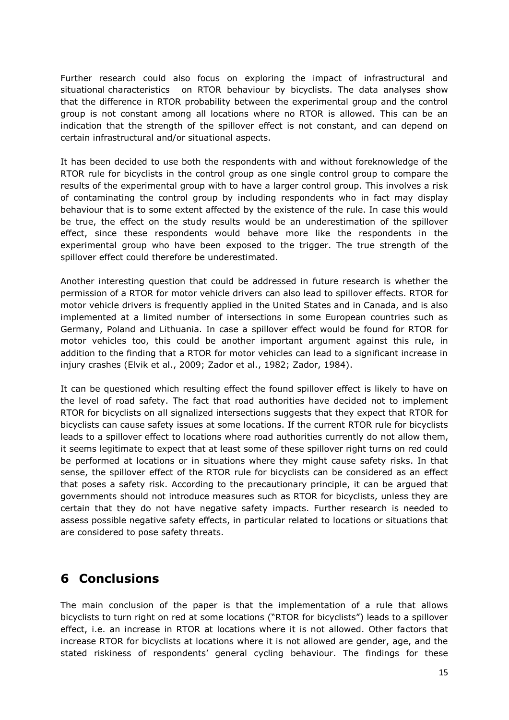Further research could also focus on exploring the impact of infrastructural and situational characteristics on RTOR behaviour by bicyclists. The data analyses show that the difference in RTOR probability between the experimental group and the control group is not constant among all locations where no RTOR is allowed. This can be an indication that the strength of the spillover effect is not constant, and can depend on certain infrastructural and/or situational aspects.

It has been decided to use both the respondents with and without foreknowledge of the RTOR rule for bicyclists in the control group as one single control group to compare the results of the experimental group with to have a larger control group. This involves a risk of contaminating the control group by including respondents who in fact may display behaviour that is to some extent affected by the existence of the rule. In case this would be true, the effect on the study results would be an underestimation of the spillover effect, since these respondents would behave more like the respondents in the experimental group who have been exposed to the trigger. The true strength of the spillover effect could therefore be underestimated.

Another interesting question that could be addressed in future research is whether the permission of a RTOR for motor vehicle drivers can also lead to spillover effects. RTOR for motor vehicle drivers is frequently applied in the United States and in Canada, and is also implemented at a limited number of intersections in some European countries such as Germany, Poland and Lithuania. In case a spillover effect would be found for RTOR for motor vehicles too, this could be another important argument against this rule, in addition to the finding that a RTOR for motor vehicles can lead to a significant increase in injury crashes (Elvik et al., 2009; Zador et al., 1982; Zador, 1984).

It can be questioned which resulting effect the found spillover effect is likely to have on the level of road safety. The fact that road authorities have decided not to implement RTOR for bicyclists on all signalized intersections suggests that they expect that RTOR for bicyclists can cause safety issues at some locations. If the current RTOR rule for bicyclists leads to a spillover effect to locations where road authorities currently do not allow them, it seems legitimate to expect that at least some of these spillover right turns on red could be performed at locations or in situations where they might cause safety risks. In that sense, the spillover effect of the RTOR rule for bicyclists can be considered as an effect that poses a safety risk. According to the precautionary principle, it can be argued that governments should not introduce measures such as RTOR for bicyclists, unless they are certain that they do not have negative safety impacts. Further research is needed to assess possible negative safety effects, in particular related to locations or situations that are considered to pose safety threats.

## **6 Conclusions**

The main conclusion of the paper is that the implementation of a rule that allows bicyclists to turn right on red at some locations ("RTOR for bicyclists") leads to a spillover effect, i.e. an increase in RTOR at locations where it is not allowed. Other factors that increase RTOR for bicyclists at locations where it is not allowed are gender, age, and the stated riskiness of respondents' general cycling behaviour. The findings for these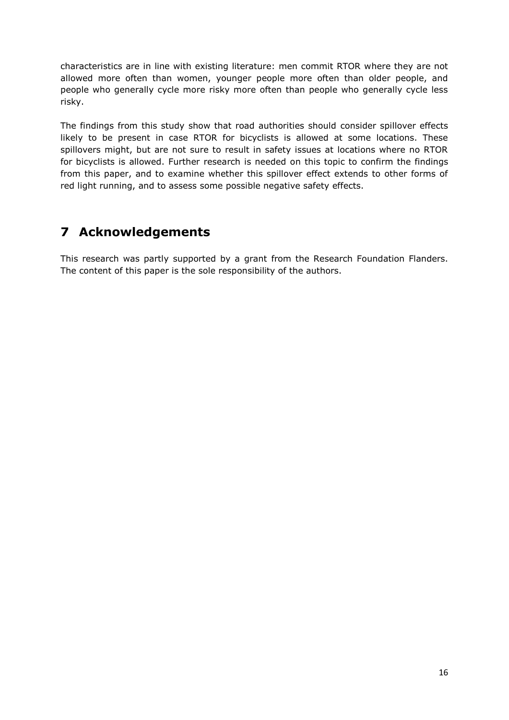characteristics are in line with existing literature: men commit RTOR where they are not allowed more often than women, younger people more often than older people, and people who generally cycle more risky more often than people who generally cycle less risky.

The findings from this study show that road authorities should consider spillover effects likely to be present in case RTOR for bicyclists is allowed at some locations. These spillovers might, but are not sure to result in safety issues at locations where no RTOR for bicyclists is allowed. Further research is needed on this topic to confirm the findings from this paper, and to examine whether this spillover effect extends to other forms of red light running, and to assess some possible negative safety effects.

# **7 Acknowledgements**

This research was partly supported by a grant from the Research Foundation Flanders. The content of this paper is the sole responsibility of the authors.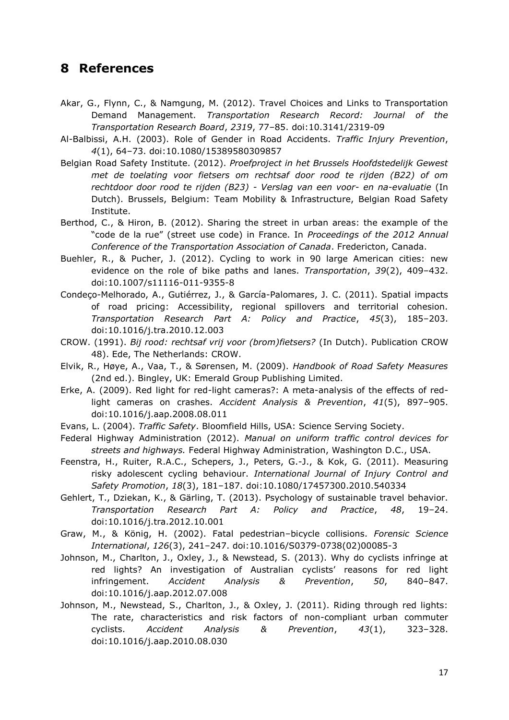### **8 References**

- Akar, G., Flynn, C., & Namgung, M. (2012). Travel Choices and Links to Transportation Demand Management. *Transportation Research Record: Journal of the Transportation Research Board*, *2319*, 77–85. doi:10.3141/2319-09
- Al-Balbissi, A.H. (2003). Role of Gender in Road Accidents. *Traffic Injury Prevention*, *4*(1), 64–73. doi:10.1080/15389580309857
- Belgian Road Safety Institute. (2012). *Proefproject in het Brussels Hoofdstedelijk Gewest met de toelating voor fietsers om rechtsaf door rood te rijden (B22) of om rechtdoor door rood te rijden (B23) - Verslag van een voor- en na-evaluatie* (In Dutch). Brussels, Belgium: Team Mobility & Infrastructure, Belgian Road Safety Institute.
- Berthod, C., & Hiron, B. (2012). Sharing the street in urban areas: the example of the "code de la rue" (street use code) in France. In *Proceedings of the 2012 Annual Conference of the Transportation Association of Canada*. Fredericton, Canada.
- Buehler, R., & Pucher, J. (2012). Cycling to work in 90 large American cities: new evidence on the role of bike paths and lanes. *Transportation*, *39*(2), 409–432. doi:10.1007/s11116-011-9355-8
- Condeço-Melhorado, A., Gutiérrez, J., & García-Palomares, J. C. (2011). Spatial impacts of road pricing: Accessibility, regional spillovers and territorial cohesion. *Transportation Research Part A: Policy and Practice*, *45*(3), 185–203. doi:10.1016/j.tra.2010.12.003
- CROW. (1991). *Bij rood: rechtsaf vrij voor (brom)fietsers?* (In Dutch). Publication CROW 48). Ede, The Netherlands: CROW.
- Elvik, R., Høye, A., Vaa, T., & Sørensen, M. (2009). *Handbook of Road Safety Measures* (2nd ed.). Bingley, UK: Emerald Group Publishing Limited.
- Erke, A. (2009). Red light for red-light cameras?: A meta-analysis of the effects of redlight cameras on crashes. *Accident Analysis & Prevention*, *41*(5), 897–905. doi:10.1016/j.aap.2008.08.011
- Evans, L. (2004). *Traffic Safety*. Bloomfield Hills, USA: Science Serving Society.
- Federal Highway Administration (2012). *Manual on uniform traffic control devices for streets and highways.* Federal Highway Administration, Washington D.C., USA.
- Feenstra, H., Ruiter, R.A.C., Schepers, J., Peters, G.-J., & Kok, G. (2011). Measuring risky adolescent cycling behaviour. *International Journal of Injury Control and Safety Promotion*, *18*(3), 181–187. doi:10.1080/17457300.2010.540334
- Gehlert, T., Dziekan, K., & Gärling, T. (2013). Psychology of sustainable travel behavior. *Transportation Research Part A: Policy and Practice*, *48*, 19–24. doi:10.1016/j.tra.2012.10.001
- Graw, M., & König, H. (2002). Fatal pedestrian–bicycle collisions. *Forensic Science International*, *126*(3), 241–247. doi:10.1016/S0379-0738(02)00085-3
- Johnson, M., Charlton, J., Oxley, J., & Newstead, S. (2013). Why do cyclists infringe at red lights? An investigation of Australian cyclists' reasons for red light infringement. *Accident Analysis & Prevention*, *50*, 840–847. doi:10.1016/j.aap.2012.07.008
- Johnson, M., Newstead, S., Charlton, J., & Oxley, J. (2011). Riding through red lights: The rate, characteristics and risk factors of non-compliant urban commuter cyclists. *Accident Analysis & Prevention*, *43*(1), 323–328. doi:10.1016/j.aap.2010.08.030